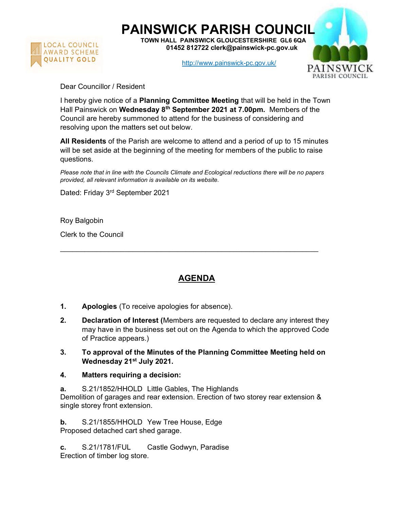

PAINSWICK PARISH COUNCIL

TOWN HALL PAINSWICK GLOUCESTERSHIRE GL6 6QA 01452 812722 clerk@painswick-pc.gov.uk

http://www.painswick-pc.gov.uk/



Dear Councillor / Resident

I hereby give notice of a **Planning Committee Meeting** that will be held in the Town Hall Painswick on Wednesday 8<sup>th</sup> September 2021 at 7.00pm. Members of the Council are hereby summoned to attend for the business of considering and resolving upon the matters set out below.

All Residents of the Parish are welcome to attend and a period of up to 15 minutes will be set aside at the beginning of the meeting for members of the public to raise questions.

Please note that in line with the Councils Climate and Ecological reductions there will be no papers provided, all relevant information is available on its website.

Dated: Friday 3rd September 2021

Roy Balgobin

Clerk to the Council

## AGENDA

 $\mathcal{L}_\text{max} = \frac{1}{2} \sum_{i=1}^{n} \frac{1}{2} \sum_{i=1}^{n} \frac{1}{2} \sum_{i=1}^{n} \frac{1}{2} \sum_{i=1}^{n} \frac{1}{2} \sum_{i=1}^{n} \frac{1}{2} \sum_{i=1}^{n} \frac{1}{2} \sum_{i=1}^{n} \frac{1}{2} \sum_{i=1}^{n} \frac{1}{2} \sum_{i=1}^{n} \frac{1}{2} \sum_{i=1}^{n} \frac{1}{2} \sum_{i=1}^{n} \frac{1}{2} \sum_{i=1}^{n} \frac{1$ 

- 1. Apologies (To receive apologies for absence).
- 2. Declaration of Interest (Members are requested to declare any interest they may have in the business set out on the Agenda to which the approved Code of Practice appears.)
- 3. To approval of the Minutes of the Planning Committee Meeting held on Wednesday 21<sup>st</sup> July 2021.
- 4. Matters requiring a decision:

a. S.21/1852/HHOLD Little Gables, The Highlands Demolition of garages and rear extension. Erection of two storey rear extension & single storey front extension.

b. S.21/1855/HHOLD Yew Tree House, Edge Proposed detached cart shed garage.

c. S.21/1781/FUL Castle Godwyn, Paradise Erection of timber log store.